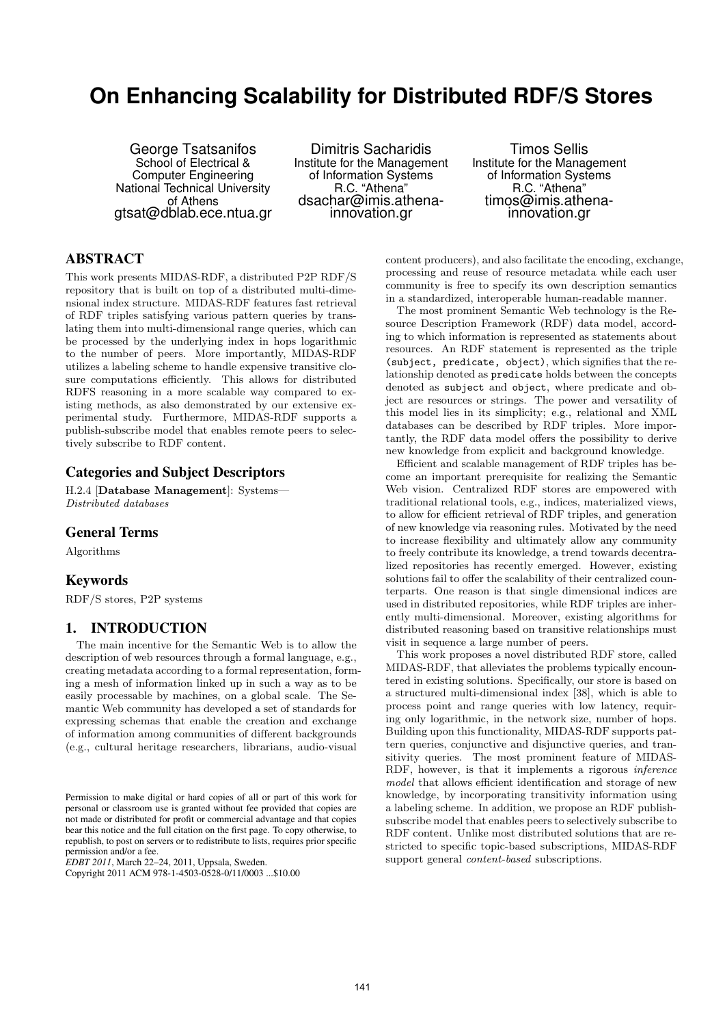# **On Enhancing Scalability for Distributed RDF/S Stores**

George Tsatsanifos School of Electrical & Computer Engineering National Technical University of Athens gtsat@dblab.ece.ntua.gr

Dimitris Sacharidis Institute for the Management of Information Systems R.C. "Athena" dsachar@imis.athenainnovation.gr

Timos Sellis Institute for the Management of Information Systems R.C. "Athena" timos@imis.athenainnovation.gr

# ABSTRACT

This work presents MIDAS-RDF, a distributed P2P RDF/S repository that is built on top of a distributed multi-dimensional index structure. MIDAS-RDF features fast retrieval of RDF triples satisfying various pattern queries by translating them into multi-dimensional range queries, which can be processed by the underlying index in hops logarithmic to the number of peers. More importantly, MIDAS-RDF utilizes a labeling scheme to handle expensive transitive closure computations efficiently. This allows for distributed RDFS reasoning in a more scalable way compared to existing methods, as also demonstrated by our extensive experimental study. Furthermore, MIDAS-RDF supports a publish-subscribe model that enables remote peers to selectively subscribe to RDF content.

# Categories and Subject Descriptors

H.2.4 [Database Management]: Systems— Distributed databases

# General Terms

Algorithms

### Keywords

RDF/S stores, P2P systems

# 1. INTRODUCTION

The main incentive for the Semantic Web is to allow the description of web resources through a formal language, e.g., creating metadata according to a formal representation, forming a mesh of information linked up in such a way as to be easily processable by machines, on a global scale. The Semantic Web community has developed a set of standards for expressing schemas that enable the creation and exchange of information among communities of different backgrounds (e.g., cultural heritage researchers, librarians, audio-visual

*EDBT 2011*, March 22–24, 2011, Uppsala, Sweden.

content producers), and also facilitate the encoding, exchange, processing and reuse of resource metadata while each user community is free to specify its own description semantics in a standardized, interoperable human-readable manner.

The most prominent Semantic Web technology is the Resource Description Framework (RDF) data model, according to which information is represented as statements about resources. An RDF statement is represented as the triple (subject, predicate, object), which signifies that the relationship denoted as predicate holds between the concepts denoted as subject and object, where predicate and object are resources or strings. The power and versatility of this model lies in its simplicity; e.g., relational and XML databases can be described by RDF triples. More importantly, the RDF data model offers the possibility to derive new knowledge from explicit and background knowledge.

Efficient and scalable management of RDF triples has become an important prerequisite for realizing the Semantic Web vision. Centralized RDF stores are empowered with traditional relational tools, e.g., indices, materialized views, to allow for efficient retrieval of RDF triples, and generation of new knowledge via reasoning rules. Motivated by the need to increase flexibility and ultimately allow any community to freely contribute its knowledge, a trend towards decentralized repositories has recently emerged. However, existing solutions fail to offer the scalability of their centralized counterparts. One reason is that single dimensional indices are used in distributed repositories, while RDF triples are inherently multi-dimensional. Moreover, existing algorithms for distributed reasoning based on transitive relationships must visit in sequence a large number of peers.

This work proposes a novel distributed RDF store, called MIDAS-RDF, that alleviates the problems typically encountered in existing solutions. Specifically, our store is based on a structured multi-dimensional index [38], which is able to process point and range queries with low latency, requiring only logarithmic, in the network size, number of hops. Building upon this functionality, MIDAS-RDF supports pattern queries, conjunctive and disjunctive queries, and transitivity queries. The most prominent feature of MIDAS-RDF, however, is that it implements a rigorous inference model that allows efficient identification and storage of new knowledge, by incorporating transitivity information using a labeling scheme. In addition, we propose an RDF publishsubscribe model that enables peers to selectively subscribe to RDF content. Unlike most distributed solutions that are restricted to specific topic-based subscriptions, MIDAS-RDF support general *content-based* subscriptions.

Permission to make digital or hard copies of all or part of this work for personal or classroom use is granted without fee provided that copies are not made or distributed for profit or commercial advantage and that copies bear this notice and the full citation on the first page. To copy otherwise, to republish, to post on servers or to redistribute to lists, requires prior specific permission and/or a fee.

Copyright 2011 ACM 978-1-4503-0528-0/11/0003 ...\$10.00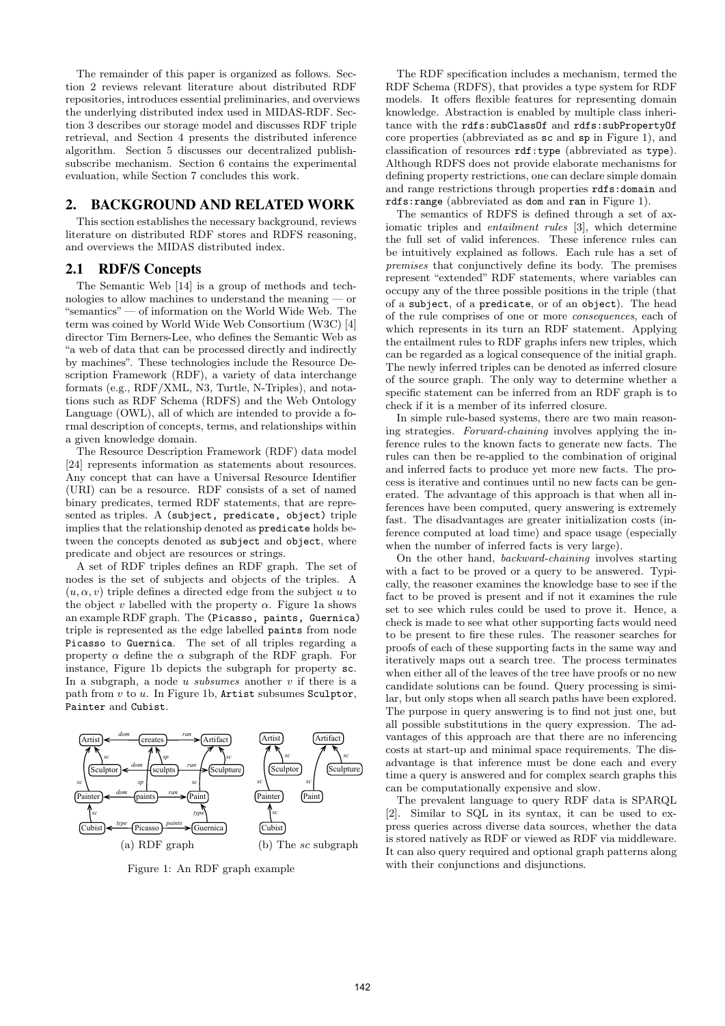The remainder of this paper is organized as follows. Section 2 reviews relevant literature about distributed RDF repositories, introduces essential preliminaries, and overviews the underlying distributed index used in MIDAS-RDF. Section 3 describes our storage model and discusses RDF triple retrieval, and Section 4 presents the distributed inference algorithm. Section 5 discusses our decentralized publishsubscribe mechanism. Section 6 contains the experimental evaluation, while Section 7 concludes this work.

# 2. BACKGROUND AND RELATED WORK

This section establishes the necessary background, reviews literature on distributed RDF stores and RDFS reasoning, and overviews the MIDAS distributed index.

#### 2.1 RDF/S Concepts

The Semantic Web [14] is a group of methods and technologies to allow machines to understand the meaning — or "semantics" — of information on the World Wide Web. The term was coined by World Wide Web Consortium (W3C) [4] director Tim Berners-Lee, who defines the Semantic Web as "a web of data that can be processed directly and indirectly by machines". These technologies include the Resource Description Framework (RDF), a variety of data interchange formats (e.g., RDF/XML, N3, Turtle, N-Triples), and notations such as RDF Schema (RDFS) and the Web Ontology Language (OWL), all of which are intended to provide a formal description of concepts, terms, and relationships within a given knowledge domain.

The Resource Description Framework (RDF) data model [24] represents information as statements about resources. Any concept that can have a Universal Resource Identifier (URI) can be a resource. RDF consists of a set of named binary predicates, termed RDF statements, that are represented as triples. A (subject, predicate, object) triple implies that the relationship denoted as predicate holds between the concepts denoted as subject and object, where predicate and object are resources or strings.

A set of RDF triples defines an RDF graph. The set of nodes is the set of subjects and objects of the triples. A  $(u, \alpha, v)$  triple defines a directed edge from the subject u to the object v labelled with the property  $\alpha$ . Figure 1a shows an example RDF graph. The (Picasso, paints, Guernica) triple is represented as the edge labelled paints from node Picasso to Guernica. The set of all triples regarding a property  $\alpha$  define the  $\alpha$  subgraph of the RDF graph. For instance, Figure 1b depicts the subgraph for property sc. In a subgraph, a node  $u$  subsumes another  $v$  if there is a path from  $v$  to  $u$ . In Figure 1b, Artist subsumes Sculptor, Painter and Cubist.



Figure 1: An RDF graph example

The RDF specification includes a mechanism, termed the RDF Schema (RDFS), that provides a type system for RDF models. It offers flexible features for representing domain knowledge. Abstraction is enabled by multiple class inheritance with the rdfs:subClassOf and rdfs:subPropertyOf core properties (abbreviated as sc and sp in Figure 1), and classification of resources rdf:type (abbreviated as type). Although RDFS does not provide elaborate mechanisms for defining property restrictions, one can declare simple domain and range restrictions through properties rdfs:domain and rdfs:range (abbreviated as dom and ran in Figure 1).

The semantics of RDFS is defined through a set of axiomatic triples and entailment rules [3], which determine the full set of valid inferences. These inference rules can be intuitively explained as follows. Each rule has a set of premises that conjunctively define its body. The premises represent "extended" RDF statements, where variables can occupy any of the three possible positions in the triple (that of a subject, of a predicate, or of an object). The head of the rule comprises of one or more consequences, each of which represents in its turn an RDF statement. Applying the entailment rules to RDF graphs infers new triples, which can be regarded as a logical consequence of the initial graph. The newly inferred triples can be denoted as inferred closure of the source graph. The only way to determine whether a specific statement can be inferred from an RDF graph is to check if it is a member of its inferred closure.

In simple rule-based systems, there are two main reasoning strategies. Forward-chaining involves applying the inference rules to the known facts to generate new facts. The rules can then be re-applied to the combination of original and inferred facts to produce yet more new facts. The process is iterative and continues until no new facts can be generated. The advantage of this approach is that when all inferences have been computed, query answering is extremely fast. The disadvantages are greater initialization costs (inference computed at load time) and space usage (especially when the number of inferred facts is very large).

On the other hand, backward-chaining involves starting with a fact to be proved or a query to be answered. Typically, the reasoner examines the knowledge base to see if the fact to be proved is present and if not it examines the rule set to see which rules could be used to prove it. Hence, a check is made to see what other supporting facts would need to be present to fire these rules. The reasoner searches for proofs of each of these supporting facts in the same way and iteratively maps out a search tree. The process terminates when either all of the leaves of the tree have proofs or no new candidate solutions can be found. Query processing is similar, but only stops when all search paths have been explored. The purpose in query answering is to find not just one, but all possible substitutions in the query expression. The advantages of this approach are that there are no inferencing costs at start-up and minimal space requirements. The disadvantage is that inference must be done each and every time a query is answered and for complex search graphs this can be computationally expensive and slow.

The prevalent language to query RDF data is SPARQL [2]. Similar to SQL in its syntax, it can be used to express queries across diverse data sources, whether the data is stored natively as RDF or viewed as RDF via middleware. It can also query required and optional graph patterns along with their conjunctions and disjunctions.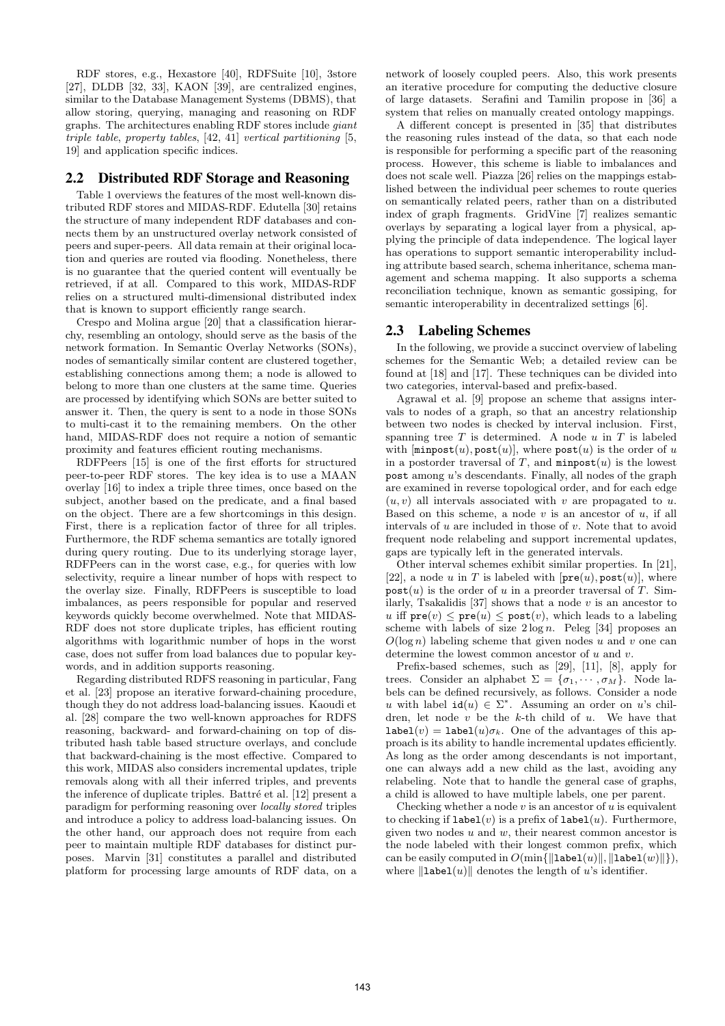RDF stores, e.g., Hexastore [40], RDFSuite [10], 3store [27], DLDB [32, 33], KAON [39], are centralized engines, similar to the Database Management Systems (DBMS), that allow storing, querying, managing and reasoning on RDF graphs. The architectures enabling RDF stores include giant triple table, property tables, [42, 41] vertical partitioning [5, 19] and application specific indices.

# 2.2 Distributed RDF Storage and Reasoning

Table 1 overviews the features of the most well-known distributed RDF stores and MIDAS-RDF. Edutella [30] retains the structure of many independent RDF databases and connects them by an unstructured overlay network consisted of peers and super-peers. All data remain at their original location and queries are routed via flooding. Nonetheless, there is no guarantee that the queried content will eventually be retrieved, if at all. Compared to this work, MIDAS-RDF relies on a structured multi-dimensional distributed index that is known to support efficiently range search.

Crespo and Molina argue [20] that a classification hierarchy, resembling an ontology, should serve as the basis of the network formation. In Semantic Overlay Networks (SONs), nodes of semantically similar content are clustered together, establishing connections among them; a node is allowed to belong to more than one clusters at the same time. Queries are processed by identifying which SONs are better suited to answer it. Then, the query is sent to a node in those SONs to multi-cast it to the remaining members. On the other hand, MIDAS-RDF does not require a notion of semantic proximity and features efficient routing mechanisms.

RDFPeers [15] is one of the first efforts for structured peer-to-peer RDF stores. The key idea is to use a MAAN overlay [16] to index a triple three times, once based on the subject, another based on the predicate, and a final based on the object. There are a few shortcomings in this design. First, there is a replication factor of three for all triples. Furthermore, the RDF schema semantics are totally ignored during query routing. Due to its underlying storage layer, RDFPeers can in the worst case, e.g., for queries with low selectivity, require a linear number of hops with respect to the overlay size. Finally, RDFPeers is susceptible to load imbalances, as peers responsible for popular and reserved keywords quickly become overwhelmed. Note that MIDAS-RDF does not store duplicate triples, has efficient routing algorithms with logarithmic number of hops in the worst case, does not suffer from load balances due to popular keywords, and in addition supports reasoning.

Regarding distributed RDFS reasoning in particular, Fang et al. [23] propose an iterative forward-chaining procedure, though they do not address load-balancing issues. Kaoudi et al. [28] compare the two well-known approaches for RDFS reasoning, backward- and forward-chaining on top of distributed hash table based structure overlays, and conclude that backward-chaining is the most effective. Compared to this work, MIDAS also considers incremental updates, triple removals along with all their inferred triples, and prevents the inference of duplicate triples. Battré et al. [12] present a paradigm for performing reasoning over locally stored triples and introduce a policy to address load-balancing issues. On the other hand, our approach does not require from each peer to maintain multiple RDF databases for distinct purposes. Marvin [31] constitutes a parallel and distributed platform for processing large amounts of RDF data, on a

network of loosely coupled peers. Also, this work presents an iterative procedure for computing the deductive closure of large datasets. Serafini and Tamilin propose in [36] a system that relies on manually created ontology mappings.

A different concept is presented in [35] that distributes the reasoning rules instead of the data, so that each node is responsible for performing a specific part of the reasoning process. However, this scheme is liable to imbalances and does not scale well. Piazza [26] relies on the mappings established between the individual peer schemes to route queries on semantically related peers, rather than on a distributed index of graph fragments. GridVine [7] realizes semantic overlays by separating a logical layer from a physical, applying the principle of data independence. The logical layer has operations to support semantic interoperability including attribute based search, schema inheritance, schema management and schema mapping. It also supports a schema reconciliation technique, known as semantic gossiping, for semantic interoperability in decentralized settings [6].

## 2.3 Labeling Schemes

In the following, we provide a succinct overview of labeling schemes for the Semantic Web; a detailed review can be found at [18] and [17]. These techniques can be divided into two categories, interval-based and prefix-based.

Agrawal et al. [9] propose an scheme that assigns intervals to nodes of a graph, so that an ancestry relationship between two nodes is checked by interval inclusion. First, spanning tree  $T$  is determined. A node  $u$  in  $T$  is labeled with  $[\text{minpost}(u), \text{post}(u)]$ , where  $\text{post}(u)$  is the order of u in a postorder traversal of T, and  $\text{minpost}(u)$  is the lowest post among u's descendants. Finally, all nodes of the graph are examined in reverse topological order, and for each edge  $(u, v)$  all intervals associated with v are propagated to u. Based on this scheme, a node  $v$  is an ancestor of  $u$ , if all intervals of  $u$  are included in those of  $v$ . Note that to avoid frequent node relabeling and support incremental updates, gaps are typically left in the generated intervals.

Other interval schemes exhibit similar properties. In [21], [22], a node u in T is labeled with  $[\text{pre}(u), \text{post}(u)]$ , where  $post(u)$  is the order of u in a preorder traversal of T. Similarly, Tsakalidis [37] shows that a node  $v$  is an ancestor to u iff  $pre(v) \leq pre(u) \leq post(v)$ , which leads to a labeling scheme with labels of size  $2 \log n$ . Peleg [34] proposes an  $O(\log n)$  labeling scheme that given nodes u and v one can determine the lowest common ancestor of  $u$  and  $v$ .

Prefix-based schemes, such as [29], [11], [8], apply for trees. Consider an alphabet  $\Sigma = {\sigma_1, \cdots, \sigma_M}$ . Node labels can be defined recursively, as follows. Consider a node u with label  $id(u) \in \Sigma^*$ . Assuming an order on u's children, let node  $v$  be the  $k$ -th child of  $u$ . We have that label(v) = label(u) $\sigma_k$ . One of the advantages of this approach is its ability to handle incremental updates efficiently. As long as the order among descendants is not important, one can always add a new child as the last, avoiding any relabeling. Note that to handle the general case of graphs, a child is allowed to have multiple labels, one per parent.

Checking whether a node  $v$  is an ancestor of  $u$  is equivalent to checking if  $label(v)$  is a prefix of  $label(u)$ . Furthermore, given two nodes  $u$  and  $w$ , their nearest common ancestor is the node labeled with their longest common prefix, which can be easily computed in  $O(\min{\{\|\texttt{label}(u)\|,\|\texttt{label}(w)\|\}})$ , where  $\|\texttt{label}(u)\|$  denotes the length of u's identifier.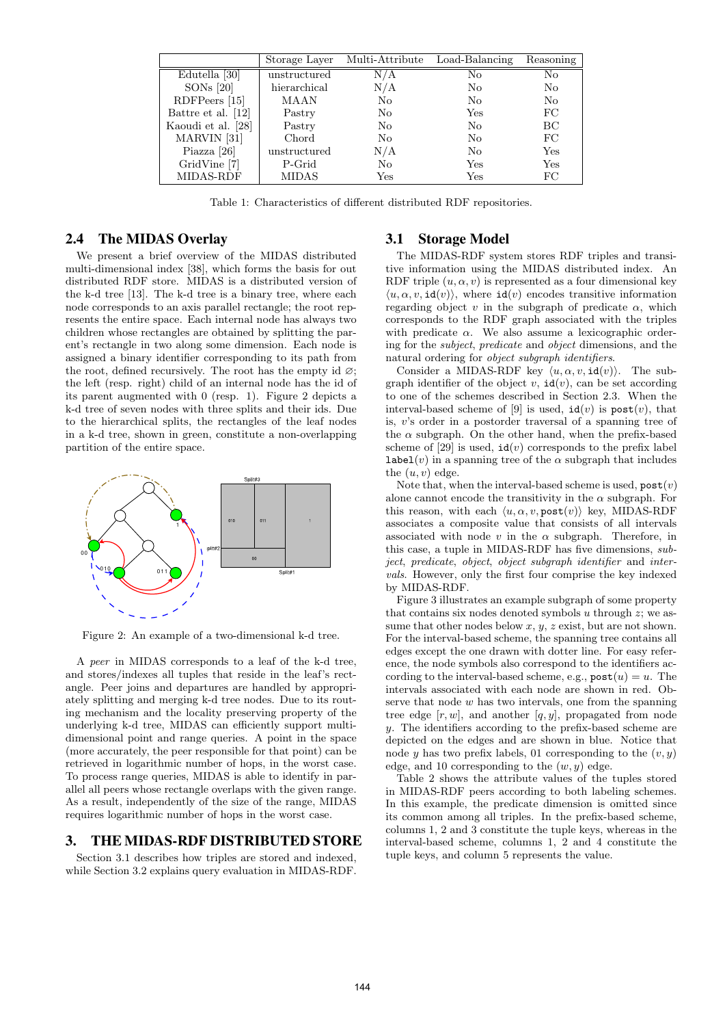|                    | Storage Layer | Multi-Attribute | Load-Balancing | Reasoning      |
|--------------------|---------------|-----------------|----------------|----------------|
| Edutella [30]      | unstructured  | N/A             | No             | No             |
| $SONs$ [20]        | hierarchical  | N/A             | No.            | N <sub>0</sub> |
| RDFPeers [15]      | MAAN          | No              | N <sub>o</sub> | N <sub>0</sub> |
| Battre et al. [12] | Pastry        | N <sub>0</sub>  | Yes            | FC             |
| Kaoudi et al. [28] | Pastry        | No              | N <sub>0</sub> | BC             |
| MARVIN [31]        | Chord         | No              | No.            | FC             |
| Piazza [26]        | unstructured  | N/A             | No             | Yes            |
| GridVine [7]       | P-Grid        | No              | Yes            | Yes            |
| MIDAS-RDF          | <b>MIDAS</b>  | Yes             | Yes            | FC             |

Table 1: Characteristics of different distributed RDF repositories.

## 2.4 The MIDAS Overlay

We present a brief overview of the MIDAS distributed multi-dimensional index [38], which forms the basis for out distributed RDF store. MIDAS is a distributed version of the k-d tree [13]. The k-d tree is a binary tree, where each node corresponds to an axis parallel rectangle; the root represents the entire space. Each internal node has always two children whose rectangles are obtained by splitting the parent's rectangle in two along some dimension. Each node is assigned a binary identifier corresponding to its path from the root, defined recursively. The root has the empty id  $\varnothing$ ; the left (resp. right) child of an internal node has the id of its parent augmented with 0 (resp. 1). Figure 2 depicts a k-d tree of seven nodes with three splits and their ids. Due to the hierarchical splits, the rectangles of the leaf nodes in a k-d tree, shown in green, constitute a non-overlapping partition of the entire space.



Figure 2: An example of a two-dimensional k-d tree.

A peer in MIDAS corresponds to a leaf of the k-d tree, and stores/indexes all tuples that reside in the leaf's rectangle. Peer joins and departures are handled by appropriately splitting and merging k-d tree nodes. Due to its routing mechanism and the locality preserving property of the underlying k-d tree, MIDAS can efficiently support multidimensional point and range queries. A point in the space (more accurately, the peer responsible for that point) can be retrieved in logarithmic number of hops, in the worst case. To process range queries, MIDAS is able to identify in parallel all peers whose rectangle overlaps with the given range. As a result, independently of the size of the range, MIDAS requires logarithmic number of hops in the worst case.

#### 3. THE MIDAS-RDF DISTRIBUTED STORE

Section 3.1 describes how triples are stored and indexed, while Section 3.2 explains query evaluation in MIDAS-RDF.

# 3.1 Storage Model

The MIDAS-RDF system stores RDF triples and transitive information using the MIDAS distributed index. An RDF triple  $(u, \alpha, v)$  is represented as a four dimensional key  $\langle u, \alpha, v, id(v) \rangle$ , where  $id(v)$  encodes transitive information regarding object v in the subgraph of predicate  $\alpha$ , which corresponds to the RDF graph associated with the triples with predicate  $\alpha$ . We also assume a lexicographic ordering for the subject, predicate and object dimensions, and the natural ordering for object subgraph identifiers.

Consider a MIDAS-RDF key  $\langle u, \alpha, v, id(v) \rangle$ . The subgraph identifier of the object v,  $id(v)$ , can be set according to one of the schemes described in Section 2.3. When the interval-based scheme of [9] is used,  $id(v)$  is  $post(v)$ , that is, v's order in a postorder traversal of a spanning tree of the  $\alpha$  subgraph. On the other hand, when the prefix-based scheme of [29] is used,  $id(v)$  corresponds to the prefix label label(v) in a spanning tree of the  $\alpha$  subgraph that includes the  $(u, v)$  edge.

Note that, when the interval-based scheme is used,  $post(v)$ alone cannot encode the transitivity in the  $\alpha$  subgraph. For this reason, with each  $\langle u, \alpha, v, \text{post}(v) \rangle$  key, MIDAS-RDF associates a composite value that consists of all intervals associated with node  $v$  in the  $\alpha$  subgraph. Therefore, in this case, a tuple in MIDAS-RDF has five dimensions, subject, predicate, object, object subgraph identifier and intervals. However, only the first four comprise the key indexed by MIDAS-RDF.

Figure 3 illustrates an example subgraph of some property that contains six nodes denoted symbols  $u$  through  $z$ ; we assume that other nodes below  $x, y, z$  exist, but are not shown. For the interval-based scheme, the spanning tree contains all edges except the one drawn with dotter line. For easy reference, the node symbols also correspond to the identifiers according to the interval-based scheme, e.g.,  $post(u) = u$ . The intervals associated with each node are shown in red. Observe that node  $w$  has two intervals, one from the spanning tree edge  $[r, w]$ , and another  $[q, y]$ , propagated from node y. The identifiers according to the prefix-based scheme are depicted on the edges and are shown in blue. Notice that node y has two prefix labels, 01 corresponding to the  $(v, y)$ edge, and 10 corresponding to the  $(w, y)$  edge.

Table 2 shows the attribute values of the tuples stored in MIDAS-RDF peers according to both labeling schemes. In this example, the predicate dimension is omitted since its common among all triples. In the prefix-based scheme, columns 1, 2 and 3 constitute the tuple keys, whereas in the interval-based scheme, columns 1, 2 and 4 constitute the tuple keys, and column 5 represents the value.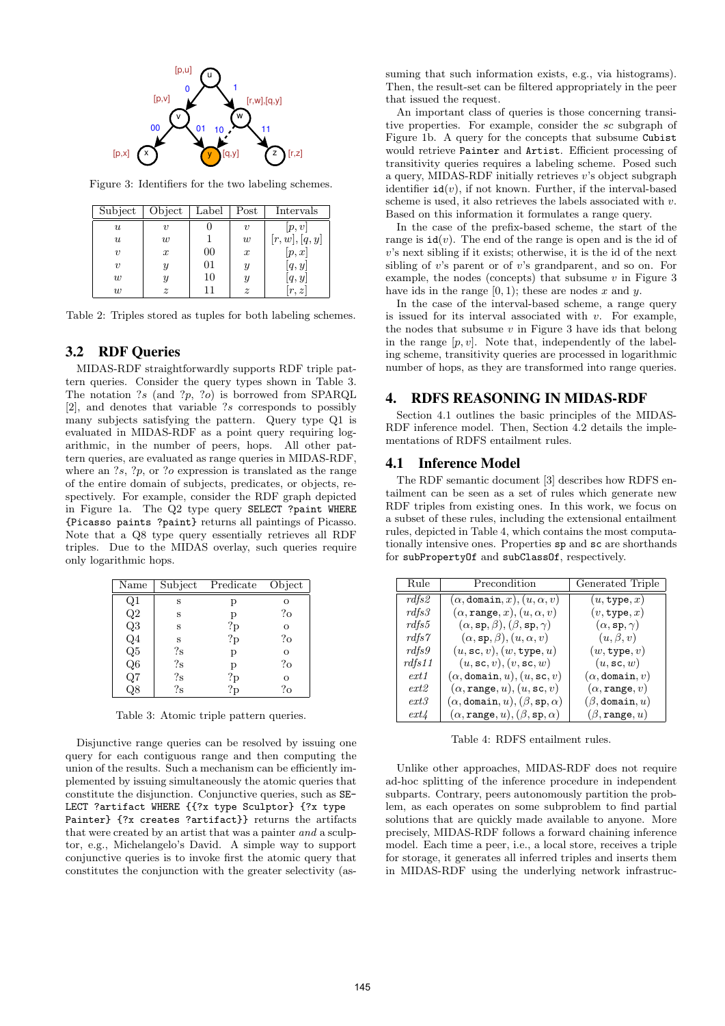

Figure 3: Identifiers for the two labeling schemes.

| Subject             | Object                | Label | Post                | Intervals        |
|---------------------|-----------------------|-------|---------------------|------------------|
| $\boldsymbol{u}$    | $\eta$                |       | $\boldsymbol{\eta}$ | p, v             |
| $\boldsymbol{u}$    | w                     |       | w                   | [r, w], [q, y]   |
| $\boldsymbol{\eta}$ | $\boldsymbol{x}$      | 00    | $\boldsymbol{x}$    | p,x              |
| $\boldsymbol{\eta}$ | y                     | 01    | Y                   | q,y              |
| w                   |                       | 10    | Y                   | q,y              |
| $\boldsymbol{w}$    | $\tilde{\mathcal{L}}$ |       | $\boldsymbol{z}$    | $\boldsymbol{z}$ |

Table 2: Triples stored as tuples for both labeling schemes.

# 3.2 RDF Queries

MIDAS-RDF straightforwardly supports RDF triple pattern queries. Consider the query types shown in Table 3. The notation ?s (and ?p, ?o) is borrowed from SPARQL [2], and denotes that variable ?s corresponds to possibly many subjects satisfying the pattern. Query type Q1 is evaluated in MIDAS-RDF as a point query requiring logarithmic, in the number of peers, hops. All other pattern queries, are evaluated as range queries in MIDAS-RDF, where an  $?s$ ,  $?p$ , or  $?o$  expression is translated as the range of the entire domain of subjects, predicates, or objects, respectively. For example, consider the RDF graph depicted in Figure 1a. The Q2 type query SELECT ?paint WHERE {Picasso paints ?paint} returns all paintings of Picasso. Note that a Q8 type query essentially retrieves all RDF triples. Due to the MIDAS overlay, such queries require only logarithmic hops.

| Name                       | Subject          | Predicate | Object   |
|----------------------------|------------------|-----------|----------|
| $_{\rm Q1}$                | S                | р         |          |
|                            | S                | р         | ?0       |
| Q2<br>Q3<br>Q4<br>Q5<br>Q6 | S                | ?p        | $\circ$  |
|                            | S                | ?p        | ?0       |
|                            | $?_{\mathbf{S}}$ | р         | $\circ$  |
|                            | $?_{\mathbf{S}}$ | р         | ?0       |
|                            | $?_{\rm S}$      | ?p        | $\Omega$ |
|                            | $?_{\mathbf{S}}$ | ?r        | ?0       |

Table 3: Atomic triple pattern queries.

Disjunctive range queries can be resolved by issuing one query for each contiguous range and then computing the union of the results. Such a mechanism can be efficiently implemented by issuing simultaneously the atomic queries that constitute the disjunction. Conjunctive queries, such as SE-LECT ?artifact WHERE {{?x type Sculptor} {?x type Painter} {?x creates ?artifact}} returns the artifacts that were created by an artist that was a painter and a sculptor, e.g., Michelangelo's David. A simple way to support conjunctive queries is to invoke first the atomic query that constitutes the conjunction with the greater selectivity (assuming that such information exists, e.g., via histograms). Then, the result-set can be filtered appropriately in the peer that issued the request.

An important class of queries is those concerning transitive properties. For example, consider the sc subgraph of Figure 1b. A query for the concepts that subsume Cubist would retrieve Painter and Artist. Efficient processing of transitivity queries requires a labeling scheme. Posed such a query, MIDAS-RDF initially retrieves v's object subgraph identifier  $id(v)$ , if not known. Further, if the interval-based scheme is used, it also retrieves the labels associated with  $v$ . Based on this information it formulates a range query.

In the case of the prefix-based scheme, the start of the range is  $id(v)$ . The end of the range is open and is the id of v's next sibling if it exists; otherwise, it is the id of the next sibling of v's parent or of v's grandparent, and so on. For example, the nodes (concepts) that subsume  $v$  in Figure 3 have ids in the range  $[0, 1)$ ; these are nodes x and y.

In the case of the interval-based scheme, a range query is issued for its interval associated with  $v$ . For example, the nodes that subsume  $v$  in Figure 3 have ids that belong in the range  $[p, v]$ . Note that, independently of the labeling scheme, transitivity queries are processed in logarithmic number of hops, as they are transformed into range queries.

# 4. RDFS REASONING IN MIDAS-RDF

Section 4.1 outlines the basic principles of the MIDAS-RDF inference model. Then, Section 4.2 details the implementations of RDFS entailment rules.

#### 4.1 Inference Model

The RDF semantic document [3] describes how RDFS entailment can be seen as a set of rules which generate new RDF triples from existing ones. In this work, we focus on a subset of these rules, including the extensional entailment rules, depicted in Table 4, which contains the most computationally intensive ones. Properties sp and sc are shorthands for subPropertyOf and subClassOf, respectively.

| Rule                  | Precondition                                                 | Generated Triple              |
|-----------------------|--------------------------------------------------------------|-------------------------------|
| rdfs2                 | $(\alpha, \text{domain}, x), (u, \alpha, v)$                 | $(u, \mathtt{type}, x)$       |
| rdfs3                 | $(\alpha, \texttt{range}, x), (u, \alpha, v)$                | $(v, \mathtt{type}, x)$       |
| rdfs5                 | $(\alpha, \texttt{sp}, \beta), (\beta, \texttt{sp}, \gamma)$ | $(\alpha, sp, \gamma)$        |
| $\frac{rdfs}{\gamma}$ | $(\alpha, \texttt{sp}, \beta), (u, \alpha, v)$               | $(u, \beta, v)$               |
| rdfs9                 | (u, sc, v), (w, type, u)                                     | $(w, \mathtt{type}, v)$       |
| rdfs11                | (u, sc, v), (v, sc, w)                                       | $(u, \texttt{sc}, w)$         |
| ext1                  | $(\alpha, \text{domain}, u), (u, sc, v)$                     | $(\alpha,$ domain, $v)$       |
| ext2                  | $(\alpha, \texttt{range}, u), (u, \texttt{sc}, v)$           | $(\alpha, \texttt{range}, v)$ |
| ext3                  | $(\alpha, \texttt{domain}, u), (\beta, \texttt{sp}, \alpha)$ | $(\beta,$ domain, $u)$        |
| $ext_4$               | $(\alpha, \texttt{range}, u), (\beta, \texttt{sp}, \alpha)$  | $(\beta, \texttt{range}, u)$  |

Table 4: RDFS entailment rules.

Unlike other approaches, MIDAS-RDF does not require ad-hoc splitting of the inference procedure in independent subparts. Contrary, peers autonomously partition the problem, as each operates on some subproblem to find partial solutions that are quickly made available to anyone. More precisely, MIDAS-RDF follows a forward chaining inference model. Each time a peer, i.e., a local store, receives a triple for storage, it generates all inferred triples and inserts them in MIDAS-RDF using the underlying network infrastruc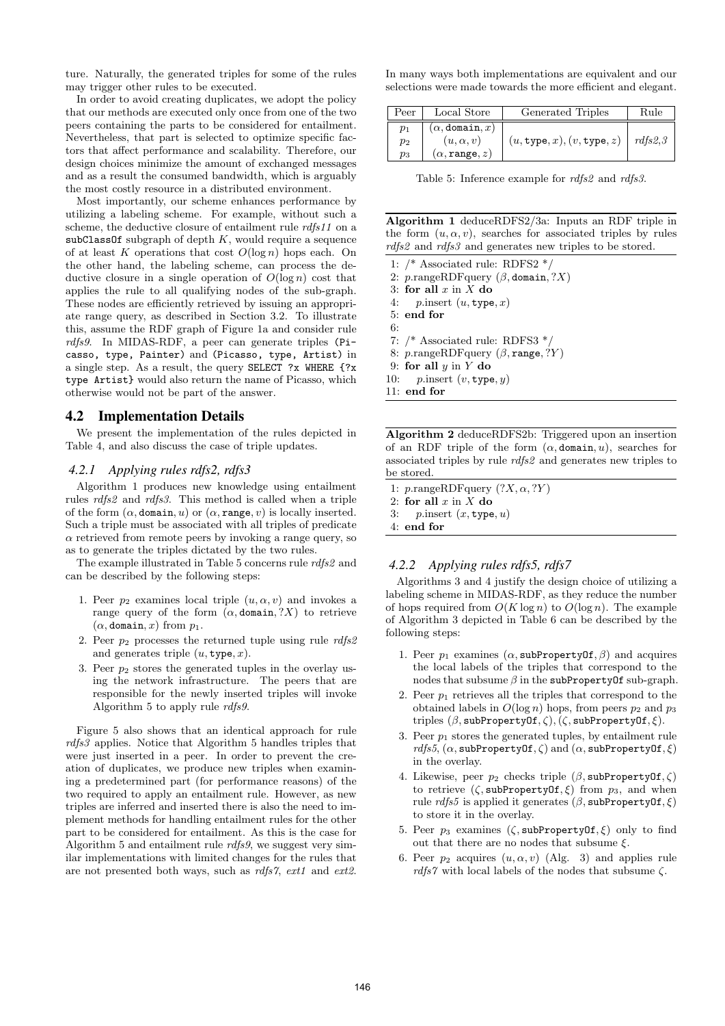ture. Naturally, the generated triples for some of the rules may trigger other rules to be executed.

In order to avoid creating duplicates, we adopt the policy that our methods are executed only once from one of the two peers containing the parts to be considered for entailment. Nevertheless, that part is selected to optimize specific factors that affect performance and scalability. Therefore, our design choices minimize the amount of exchanged messages and as a result the consumed bandwidth, which is arguably the most costly resource in a distributed environment.

Most importantly, our scheme enhances performance by utilizing a labeling scheme. For example, without such a scheme, the deductive closure of entailment rule rdfs11 on a subClassOf subgraph of depth  $K$ , would require a sequence of at least K operations that cost  $O(\log n)$  hops each. On the other hand, the labeling scheme, can process the deductive closure in a single operation of  $O(\log n)$  cost that applies the rule to all qualifying nodes of the sub-graph. These nodes are efficiently retrieved by issuing an appropriate range query, as described in Section 3.2. To illustrate this, assume the RDF graph of Figure 1a and consider rule rdfs9. In MIDAS-RDF, a peer can generate triples (Picasso, type, Painter) and (Picasso, type, Artist) in a single step. As a result, the query SELECT ?x WHERE {?x type Artist} would also return the name of Picasso, which otherwise would not be part of the answer.

#### 4.2 Implementation Details

We present the implementation of the rules depicted in Table 4, and also discuss the case of triple updates.

#### *4.2.1 Applying rules rdfs2, rdfs3*

Algorithm 1 produces new knowledge using entailment rules rdfs2 and rdfs3. This method is called when a triple of the form  $(\alpha, \text{domain}, u)$  or  $(\alpha, \text{range}, v)$  is locally inserted. Such a triple must be associated with all triples of predicate  $\alpha$  retrieved from remote peers by invoking a range query, so as to generate the triples dictated by the two rules.

The example illustrated in Table 5 concerns rule rdfs2 and can be described by the following steps:

- 1. Peer  $p_2$  examines local triple  $(u, \alpha, v)$  and invokes a range query of the form  $(\alpha, \text{domain}, ?X)$  to retrieve  $(\alpha, \text{domain}, x)$  from  $p_1$ .
- 2. Peer  $p_2$  processes the returned tuple using rule  $\eta \text{d} f s2$ and generates triple  $(u, \texttt{type}, x)$ .
- 3. Peer  $p_2$  stores the generated tuples in the overlay using the network infrastructure. The peers that are responsible for the newly inserted triples will invoke Algorithm 5 to apply rule rdfs9.

Figure 5 also shows that an identical approach for rule  $rdfs3$  applies. Notice that Algorithm 5 handles triples that were just inserted in a peer. In order to prevent the creation of duplicates, we produce new triples when examining a predetermined part (for performance reasons) of the two required to apply an entailment rule. However, as new triples are inferred and inserted there is also the need to implement methods for handling entailment rules for the other part to be considered for entailment. As this is the case for Algorithm 5 and entailment rule rdfs9, we suggest very similar implementations with limited changes for the rules that are not presented both ways, such as rdfs7, ext1 and ext2.

In many ways both implementations are equivalent and our selections were made towards the more efficient and elegant.

| Peer                    | Local Store                                                                         | Generated Triples                              | Rule    |
|-------------------------|-------------------------------------------------------------------------------------|------------------------------------------------|---------|
| $p_1$<br>$p_2$<br>$p_3$ | $(\alpha, \texttt{domain}, x)$<br>$(u, \alpha, v)$<br>$(\alpha, \texttt{range}, z)$ | $(u, \mathtt{type}, x), (v, \mathtt{type}, z)$ | rdfs2,3 |

Table 5: Inference example for rdfs2 and rdfs3.

Algorithm 1 deduceRDFS2/3a: Inputs an RDF triple in the form  $(u, \alpha, v)$ , searches for associated triples by rules rdfs2 and rdfs3 and generates new triples to be stored.

1: /\* Associated rule: RDFS2 \*/ 2:  $p$ .rangeRDFquery ( $\beta$ , domain, ?X) 3: for all  $x$  in  $X$  do 4:  $p.insert(u, type, x)$ 5: end for 6: 7: /\* Associated rule: RDFS3 \*/ 8:  $p$ .rangeRDFquery ( $\beta$ , range, ?Y) 9: for all  $y$  in  $Y$  do 10:  $p.insert(v, type, y)$ 11: end for

Algorithm 2 deduceRDFS2b: Triggered upon an insertion of an RDF triple of the form  $(\alpha, \text{domain}, u)$ , searches for associated triples by rule rdfs2 and generates new triples to be stored.

1:  $p.\text{rangeRDFquery}$  (?X,  $\alpha$ , ?Y) 2: for all  $x$  in  $X$  do 3:  $p.insert(x, type, u)$ 4: end for

#### *4.2.2 Applying rules rdfs5, rdfs7*

Algorithms 3 and 4 justify the design choice of utilizing a labeling scheme in MIDAS-RDF, as they reduce the number of hops required from  $O(K \log n)$  to  $O(\log n)$ . The example of Algorithm 3 depicted in Table 6 can be described by the following steps:

- 1. Peer  $p_1$  examines  $(\alpha, \text{subPropertyOf}, \beta)$  and acquires the local labels of the triples that correspond to the nodes that subsume  $\beta$  in the subPropertyOf sub-graph.
- 2. Peer  $p_1$  retrieves all the triples that correspond to the obtained labels in  $O(\log n)$  hops, from peers  $p_2$  and  $p_3$ triples  $(\beta, \text{subPropertyOf}, \zeta), (\zeta, \text{subPropertyOf}, \xi)$ .
- 3. Peer  $p_1$  stores the generated tuples, by entailment rule  $rdfs5, (\alpha, \text{subPropertyOf}, \zeta)$  and  $(\alpha, \text{subPropertyOf}, \xi)$ in the overlay.
- 4. Likewise, peer  $p_2$  checks triple  $(\beta, \text{subPropertyOf}, \zeta)$ to retrieve  $(\zeta, \text{subPropertyOf}, \xi)$  from  $p_3$ , and when rule *rdfs5* is applied it generates  $(\beta, \text{subPropertyOf}, \xi)$ to store it in the overlay.
- 5. Peer  $p_3$  examines  $(\zeta, \text{subPropertyOf}, \xi)$  only to find out that there are no nodes that subsume  $\xi$ .
- 6. Peer  $p_2$  acquires  $(u, \alpha, v)$  (Alg. 3) and applies rule  $rdfs\gamma$  with local labels of the nodes that subsume  $\zeta$ .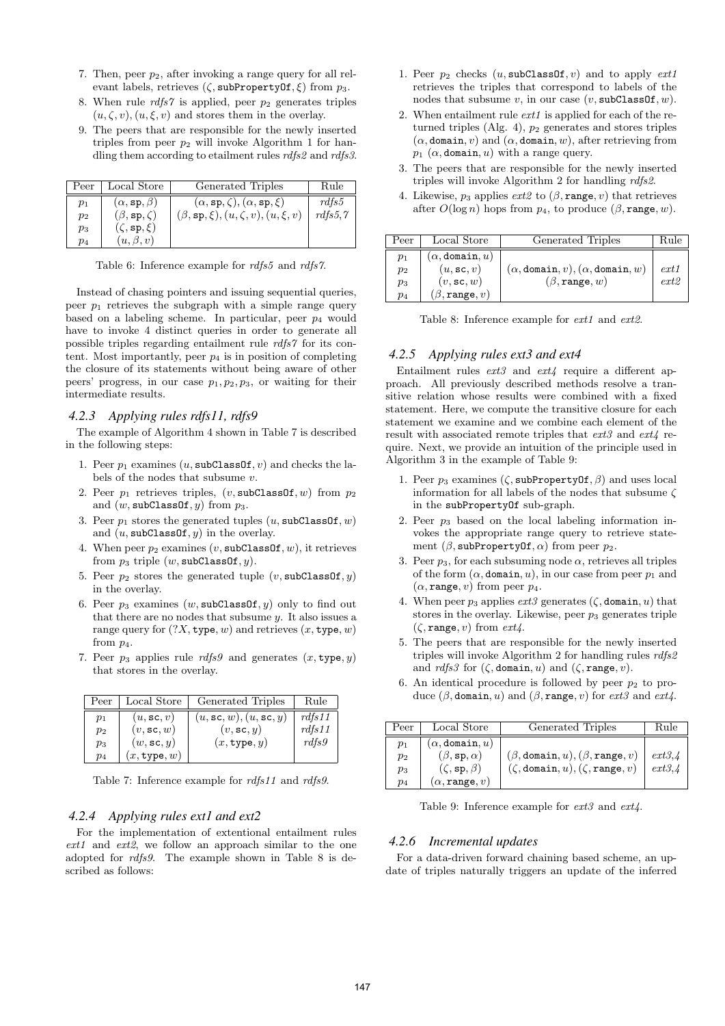- 7. Then, peer  $p_2$ , after invoking a range query for all relevant labels, retrieves  $(\zeta, \text{subPropertyOf}, \xi)$  from  $p_3$ .
- 8. When rule  $\frac{rdfs}{\gamma}$  is applied, peer  $p_2$  generates triples  $(u, \zeta, v), (u, \xi, v)$  and stores them in the overlay.
- 9. The peers that are responsible for the newly inserted triples from peer  $p_2$  will invoke Algorithm 1 for handling them according to etailment rules rdfs2 and rdfs3.

| Peer           | Local Store                    | Generated Triples                              | Rule    |
|----------------|--------------------------------|------------------------------------------------|---------|
| p <sub>1</sub> | $(\alpha, \texttt{sp}, \beta)$ | $(\alpha, sp, \zeta), (\alpha, sp, \xi)$       | rdfs5   |
| $p_2$          | $(\beta, sp, \zeta)$           | $(\beta, sp, \xi), (u, \zeta, v), (u, \xi, v)$ | rdfs5.7 |
| $p_3$          | $(\zeta, sp, \xi)$             |                                                |         |
| $p_4$          | $(u, \beta, v)$                |                                                |         |

Table 6: Inference example for  $rdfs5$  and  $rdfs7$ .

Instead of chasing pointers and issuing sequential queries, peer  $p_1$  retrieves the subgraph with a simple range query based on a labeling scheme. In particular, peer  $p_4$  would have to invoke 4 distinct queries in order to generate all possible triples regarding entailment rule rdfs7 for its content. Most importantly, peer  $p_4$  is in position of completing the closure of its statements without being aware of other peers' progress, in our case  $p_1, p_2, p_3$ , or waiting for their intermediate results.

## *4.2.3 Applying rules rdfs11, rdfs9*

The example of Algorithm 4 shown in Table 7 is described in the following steps:

- 1. Peer  $p_1$  examines  $(u, \text{subClassOf}, v)$  and checks the labels of the nodes that subsume v.
- 2. Peer  $p_1$  retrieves triples,  $(v, \text{subClassOf}, w)$  from  $p_2$ and  $(w, \text{subClassOf}, y)$  from  $p_3$ .
- 3. Peer  $p_1$  stores the generated tuples  $(u, \texttt{subClassOf}, w)$ and  $(u, \text{subClassOf}, y)$  in the overlay.
- 4. When peer  $p_2$  examines  $(v, \text{subClassOf}, w)$ , it retrieves from  $p_3$  triple  $(w, \text{subClassOf}, y)$ .
- 5. Peer  $p_2$  stores the generated tuple  $(v, \text{subClassOf}, y)$ in the overlay.
- 6. Peer  $p_3$  examines  $(w, \text{subClassOf}, y)$  only to find out that there are no nodes that subsume y. It also issues a range query for  $(?X, \text{type}, w)$  and retrieves  $(x, \text{type}, w)$ from  $p_4$ .
- 7. Peer  $p_3$  applies rule *rdfs9* and generates  $(x, type, y)$ that stores in the overlay.

| Peer  | Local Store             | Generated Triples       | Rule   |
|-------|-------------------------|-------------------------|--------|
| $p_1$ | (u, sc, v)              | (u, sc, w), (u, sc, y)  | rdfs11 |
| $p_2$ | (v, sc, w)              | (v, sc, y)              | rdfs11 |
| $p_3$ | (w, sc, y)              | $(x, \mathtt{type}, y)$ | rdfs9  |
| $p_4$ | $(x, \mathtt{type}, w)$ |                         |        |

Table 7: Inference example for rdfs11 and rdfs9.

#### *4.2.4 Applying rules ext1 and ext2*

For the implementation of extentional entailment rules ext1 and ext2, we follow an approach similar to the one adopted for rdfs9. The example shown in Table 8 is described as follows:

- 1. Peer  $p_2$  checks  $(u, \text{subClassOf}, v)$  and to apply  $ext1$ retrieves the triples that correspond to labels of the nodes that subsume v, in our case  $(v, \text{subClassOf}, w)$ .
- 2. When entailment rule  $ext1$  is applied for each of the returned triples (Alg. 4),  $p_2$  generates and stores triples  $(\alpha, \text{domain}, v)$  and  $(\alpha, \text{domain}, w)$ , after retrieving from  $p_1$  ( $\alpha$ , domain,  $u$ ) with a range query.
- 3. The peers that are responsible for the newly inserted triples will invoke Algorithm 2 for handling rdfs2.
- 4. Likewise,  $p_3$  applies  $ext{2}$  to  $(\beta, \text{range}, v)$  that retrieves after  $O(\log n)$  hops from  $p_4$ , to produce  $(\beta, \texttt{range}, w)$ .

| Peer                             | Local Store                                                                           | Generated Triples                                                                            | Rule         |
|----------------------------------|---------------------------------------------------------------------------------------|----------------------------------------------------------------------------------------------|--------------|
| $p_1$<br>$p_2$<br>$p_3$<br>$p_4$ | $(\alpha,$ domain, $u)$<br>$(u, \texttt{sc}, v)$<br>(v, sc, w)<br>$\beta$ , range, v) | $(\alpha, \texttt{domain}, v), (\alpha, \texttt{domain}, w)$<br>$(\beta, \texttt{range}, w)$ | ext1<br>ext2 |

|  | Table 8: Inference example for $ext1$ and $ext2$ . |  |  |  |  |  |
|--|----------------------------------------------------|--|--|--|--|--|
|--|----------------------------------------------------|--|--|--|--|--|

## *4.2.5 Applying rules ext3 and ext4*

Entailment rules  $ext{3}$  and  $ext{4}$  require a different approach. All previously described methods resolve a transitive relation whose results were combined with a fixed statement. Here, we compute the transitive closure for each statement we examine and we combine each element of the result with associated remote triples that  $ext{3}$  and  $ext{4}$  require. Next, we provide an intuition of the principle used in Algorithm 3 in the example of Table 9:

- 1. Peer  $p_3$  examines ( $\zeta$ , subPropertyOf,  $\beta$ ) and uses local information for all labels of the nodes that subsume ζ in the subPropertyOf sub-graph.
- 2. Peer  $p_3$  based on the local labeling information invokes the appropriate range query to retrieve statement  $(\beta, \text{subPropertyOf}, \alpha)$  from peer  $p_2$ .
- 3. Peer  $p_3$ , for each subsuming node  $\alpha$ , retrieves all triples of the form  $(\alpha, \text{domain}, u)$ , in our case from peer  $p_1$  and  $(\alpha, \texttt{range}, v)$  from peer  $p_4$ .
- 4. When peer  $p_3$  applies  $ext{3}$  generates ( $\zeta$ , domain, u) that stores in the overlay. Likewise, peer  $p_3$  generates triple  $(\zeta, \texttt{range}, v)$  from  $ext4$ .
- 5. The peers that are responsible for the newly inserted triples will invoke Algorithm 2 for handling rules rdfs2 and  $\text{rdfs3}$  for  $(\zeta, \text{domain}, u)$  and  $(\zeta, \text{range}, v)$ .
- 6. An identical procedure is followed by peer  $p_2$  to produce  $(\beta, \text{domain}, u)$  and  $(\beta, \text{range}, v)$  for ext3 and ext4.

| Peer                             | Local Store                                                                                                        | Generated Triples                                                                                              | Rule                     |
|----------------------------------|--------------------------------------------------------------------------------------------------------------------|----------------------------------------------------------------------------------------------------------------|--------------------------|
| $p_1$<br>$p_2$<br>$p_3$<br>$p_4$ | $(\alpha,$ domain, $u)$<br>$(\beta, sp, \alpha)$<br>$(\zeta, \mathsf{sp}, \beta)$<br>$(\alpha, \texttt{range}, v)$ | $(\beta, \text{domain}, u), (\beta, \text{range}, v)$<br>$(\zeta, \text{domain}, u), (\zeta, \text{range}, v)$ | $ext{3.4}$<br>$ext{3.4}$ |

Table 9: Inference example for  $ext{3}$  and  $ext{4}$ .

#### *4.2.6 Incremental updates*

For a data-driven forward chaining based scheme, an update of triples naturally triggers an update of the inferred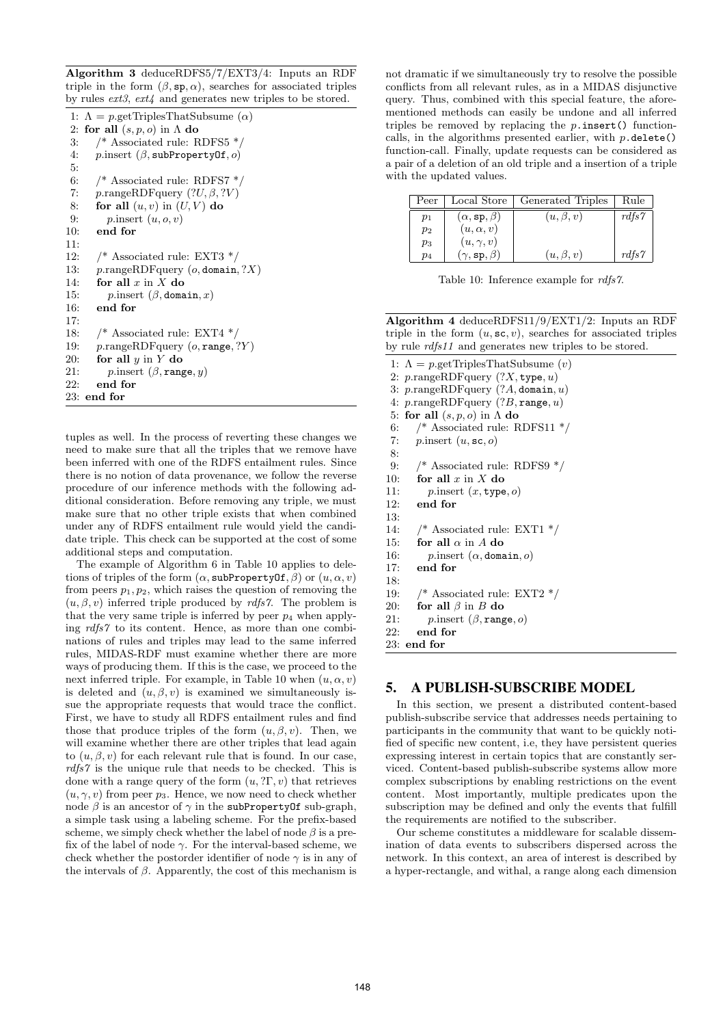Algorithm 3 deduceRDFS5/7/EXT3/4: Inputs an RDF triple in the form  $(\beta, sp, \alpha)$ , searches for associated triples by rules ext3, ext4 and generates new triples to be stored.

|     | 1: $\Lambda = p.\text{getTriples}$ ThatSubsume $(\alpha)$ |
|-----|-----------------------------------------------------------|
|     | 2: for all $(s, p, o)$ in $\Lambda$ do                    |
| 3:  | /* Associated rule: RDFS5 $*/$                            |
| 4:  | p.insert $(\beta, \text{subPropertyOf}, o)$               |
| 5:  |                                                           |
|     | 6: $/*$ Associated rule: RDFS7 $*/$                       |
|     | 7: $p\text{.rangeRDFquery } (?U, \beta, ?V)$              |
| 8:  | for all $(u, v)$ in $(U, V)$ do                           |
| 9:  | $p$ .insert $(u, o, v)$                                   |
| 10: | end for                                                   |
| 11: |                                                           |
|     | 12: $/*$ Associated rule: EXT3 $*/$                       |
|     | 13: $p.\text{rangeRDFquery}(o, \text{domain}, ?X)$        |
| 14: | for all $x$ in $X$ do                                     |
| 15: | p.insert $(\beta, \text{domain}, x)$                      |
| 16: | end for                                                   |
| 17: |                                                           |
|     | 18: $/*$ Associated rule: EXT4 $*/$                       |
|     | 19: $p.\text{rangeRDFquery}(o,\text{range}, ?Y)$          |
| 20: | for all $y$ in $Y$ do                                     |
| 21: | p.insert $(\beta, \mathtt{range}, y)$                     |
| 22: | end for                                                   |
|     | $23:$ end for                                             |

tuples as well. In the process of reverting these changes we need to make sure that all the triples that we remove have been inferred with one of the RDFS entailment rules. Since there is no notion of data provenance, we follow the reverse procedure of our inference methods with the following additional consideration. Before removing any triple, we must make sure that no other triple exists that when combined under any of RDFS entailment rule would yield the candidate triple. This check can be supported at the cost of some additional steps and computation.

The example of Algorithm 6 in Table 10 applies to deletions of triples of the form  $(\alpha, \text{subPropertyOf}, \beta)$  or  $(u, \alpha, v)$ from peers  $p_1, p_2$ , which raises the question of removing the  $(u, \beta, v)$  inferred triple produced by *rdfs7*. The problem is that the very same triple is inferred by peer  $p_4$  when applying rdfs7 to its content. Hence, as more than one combinations of rules and triples may lead to the same inferred rules, MIDAS-RDF must examine whether there are more ways of producing them. If this is the case, we proceed to the next inferred triple. For example, in Table 10 when  $(u, \alpha, v)$ is deleted and  $(u, \beta, v)$  is examined we simultaneously issue the appropriate requests that would trace the conflict. First, we have to study all RDFS entailment rules and find those that produce triples of the form  $(u, \beta, v)$ . Then, we will examine whether there are other triples that lead again to  $(u, \beta, v)$  for each relevant rule that is found. In our case, rdfs7 is the unique rule that needs to be checked. This is done with a range query of the form  $(u, T, v)$  that retrieves  $(u, \gamma, v)$  from peer  $p_3$ . Hence, we now need to check whether node  $\beta$  is an ancestor of  $\gamma$  in the subPropertyOf sub-graph, a simple task using a labeling scheme. For the prefix-based scheme, we simply check whether the label of node  $\beta$  is a prefix of the label of node  $\gamma$ . For the interval-based scheme, we check whether the postorder identifier of node  $\gamma$  is in any of the intervals of  $\beta$ . Apparently, the cost of this mechanism is

not dramatic if we simultaneously try to resolve the possible conflicts from all relevant rules, as in a MIDAS disjunctive query. Thus, combined with this special feature, the aforementioned methods can easily be undone and all inferred triples be removed by replacing the  $p$ . insert() functioncalls, in the algorithms presented earlier, with  $p$ .delete() function-call. Finally, update requests can be considered as a pair of a deletion of an old triple and a insertion of a triple with the updated values.

| Peer           | Local Store                  | Generated Triples | Rule         |
|----------------|------------------------------|-------------------|--------------|
| $p_1$          | $(\alpha, sp, \beta)$        | $(u, \beta, v)$   | $rdfs\gamma$ |
| $p_2$          | $(u, \alpha, v)$             |                   |              |
| $p_3$          | $(u, \gamma, v)$             |                   |              |
| p <sub>4</sub> | $(\gamma,\texttt{sp},\beta)$ | $(u, \beta, v)$   | $rdfs\gamma$ |

Table 10: Inference example for rdfs7.

Algorithm 4 deduceRDFS11/9/EXT1/2: Inputs an RDF triple in the form  $(u, sc, v)$ , searches for associated triples by rule rdfs11 and generates new triples to be stored.

| 1: $\Lambda = p.\text{getTriplesThatSubsume } (v)$ |  |  |  |
|----------------------------------------------------|--|--|--|
| 2: p.rangeRDFquery $(?X, \mathtt{type}, u)$        |  |  |  |
| 3: $p$ .rangeRDFquery $(?A,$ domain, $u)$          |  |  |  |
| 4: $p$ .rangeRDFquery (?B, range, $u$ )            |  |  |  |
| 5: for all $(s, p, o)$ in $\Lambda$ do             |  |  |  |
| 6: $/*$ Associated rule: RDFS11 $*/$               |  |  |  |
| 7: $p\text{.insert } (u, \text{sc}, o)$            |  |  |  |
| 8:                                                 |  |  |  |
| 9: $/*$ Associated rule: RDFS9 $*/$                |  |  |  |
| 10: for all $x$ in $X$ do                          |  |  |  |
| p.insert $(x, \mathtt{type}, o)$<br>11:            |  |  |  |
| 12: end for                                        |  |  |  |
| 13:                                                |  |  |  |
| 14: $/*$ Associated rule: EXT1 $*/$                |  |  |  |
| 15: for all $\alpha$ in A do                       |  |  |  |
| 16:<br>p.insert $(\alpha, \text{domain}, o)$       |  |  |  |
| 17: end for                                        |  |  |  |
| 18:                                                |  |  |  |
| 19: $/*$ Associated rule: EXT2 $*/$                |  |  |  |
| 20: for all $\beta$ in B do                        |  |  |  |
| p.insert $(\beta, \texttt{range}, o)$<br>21:       |  |  |  |
| $22:$ end for                                      |  |  |  |
| $23:$ end for                                      |  |  |  |

#### 5. A PUBLISH-SUBSCRIBE MODEL

In this section, we present a distributed content-based publish-subscribe service that addresses needs pertaining to participants in the community that want to be quickly notified of specific new content, i.e, they have persistent queries expressing interest in certain topics that are constantly serviced. Content-based publish-subscribe systems allow more complex subscriptions by enabling restrictions on the event content. Most importantly, multiple predicates upon the subscription may be defined and only the events that fulfill the requirements are notified to the subscriber.

Our scheme constitutes a middleware for scalable dissemination of data events to subscribers dispersed across the network. In this context, an area of interest is described by a hyper-rectangle, and withal, a range along each dimension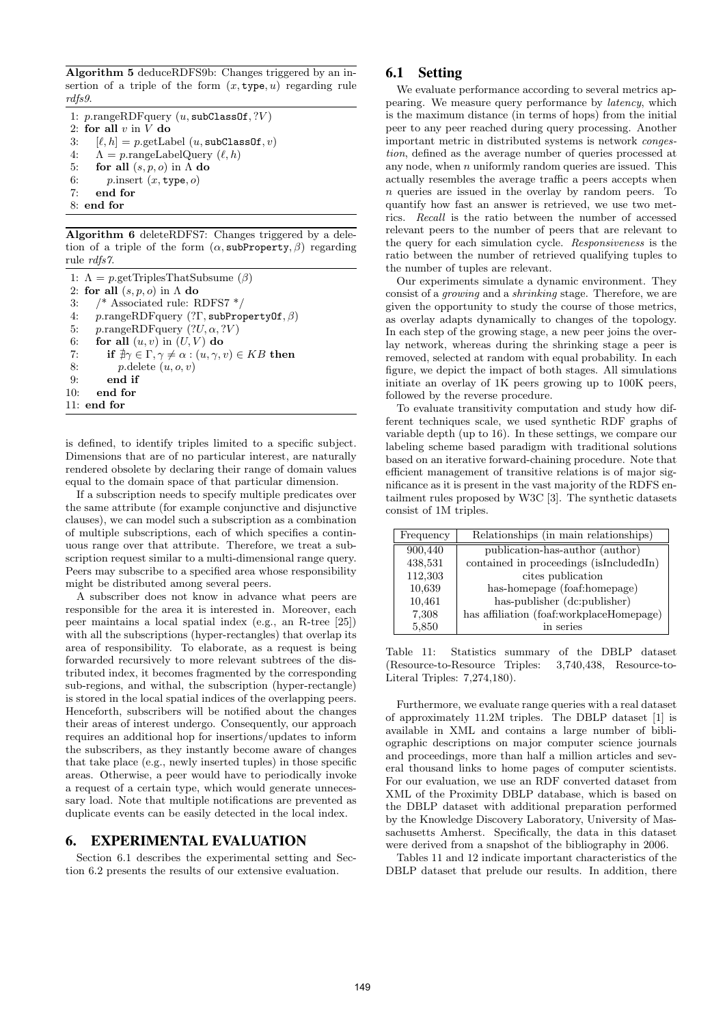Algorithm 5 deduceRDFS9b: Changes triggered by an insertion of a triple of the form  $(x, \text{type}, u)$  regarding rule rdfs9.

1:  $p$ .rangeRDFquery  $(u, \text{subClassOf}, ?V)$ 2: for all  $v$  in  $V$  do 3:  $[\ell, h] = p.\text{getLabel} (u, \text{subClassOf}, v)$ 4:  $\Lambda = p.\text{rangeLabelQuery}(\ell, h)$ 5: for all  $(s, p, o)$  in  $\Lambda$  do 6:  $p\text{.insert } (x, \text{type}, o)$ 7: end for 8: end for

Algorithm 6 deleteRDFS7: Changes triggered by a deletion of a triple of the form  $(\alpha, \text{subProperty}, \beta)$  regarding rule rdfs7.

1:  $\Lambda = p.\text{getTriplesThatSubsume } (\beta)$ 2: for all  $(s, p, o)$  in  $\Lambda$  do 3: /\* Associated rule: RDFS7 \*/ 4: p.rangeRDFquery (?Γ, subPropertyOf, β) 5:  $p.\text{rangeRDFquery}$  (?U,  $\alpha$ , ?V) 6: for all  $(u, v)$  in  $(U, V)$  do 7: if  $\nexists \gamma \in \Gamma, \gamma \neq \alpha : (u, \gamma, v) \in KB$  then 8:  $p.\text{delete } (u, o, v)$ 9: end if 10: end for 11: end for

is defined, to identify triples limited to a specific subject. Dimensions that are of no particular interest, are naturally rendered obsolete by declaring their range of domain values equal to the domain space of that particular dimension.

If a subscription needs to specify multiple predicates over the same attribute (for example conjunctive and disjunctive clauses), we can model such a subscription as a combination of multiple subscriptions, each of which specifies a continuous range over that attribute. Therefore, we treat a subscription request similar to a multi-dimensional range query. Peers may subscribe to a specified area whose responsibility might be distributed among several peers.

A subscriber does not know in advance what peers are responsible for the area it is interested in. Moreover, each peer maintains a local spatial index (e.g., an R-tree [25]) with all the subscriptions (hyper-rectangles) that overlap its area of responsibility. To elaborate, as a request is being forwarded recursively to more relevant subtrees of the distributed index, it becomes fragmented by the corresponding sub-regions, and withal, the subscription (hyper-rectangle) is stored in the local spatial indices of the overlapping peers. Henceforth, subscribers will be notified about the changes their areas of interest undergo. Consequently, our approach requires an additional hop for insertions/updates to inform the subscribers, as they instantly become aware of changes that take place (e.g., newly inserted tuples) in those specific areas. Otherwise, a peer would have to periodically invoke a request of a certain type, which would generate unnecessary load. Note that multiple notifications are prevented as duplicate events can be easily detected in the local index.

#### 6. EXPERIMENTAL EVALUATION

Section 6.1 describes the experimental setting and Section 6.2 presents the results of our extensive evaluation.

# 6.1 Setting

We evaluate performance according to several metrics appearing. We measure query performance by *latency*, which is the maximum distance (in terms of hops) from the initial peer to any peer reached during query processing. Another important metric in distributed systems is network congestion, defined as the average number of queries processed at any node, when  $n$  uniformly random queries are issued. This actually resembles the average traffic a peers accepts when  $n$  queries are issued in the overlay by random peers. To quantify how fast an answer is retrieved, we use two metrics. Recall is the ratio between the number of accessed relevant peers to the number of peers that are relevant to the query for each simulation cycle. Responsiveness is the ratio between the number of retrieved qualifying tuples to the number of tuples are relevant.

Our experiments simulate a dynamic environment. They consist of a growing and a shrinking stage. Therefore, we are given the opportunity to study the course of those metrics, as overlay adapts dynamically to changes of the topology. In each step of the growing stage, a new peer joins the overlay network, whereas during the shrinking stage a peer is removed, selected at random with equal probability. In each figure, we depict the impact of both stages. All simulations initiate an overlay of 1K peers growing up to 100K peers, followed by the reverse procedure.

To evaluate transitivity computation and study how different techniques scale, we used synthetic RDF graphs of variable depth (up to 16). In these settings, we compare our labeling scheme based paradigm with traditional solutions based on an iterative forward-chaining procedure. Note that efficient management of transitive relations is of major significance as it is present in the vast majority of the RDFS entailment rules proposed by W3C [3]. The synthetic datasets consist of 1M triples.

| Frequency | Relationships (in main relationships)    |
|-----------|------------------------------------------|
| 900,440   | publication-has-author (author)          |
| 438,531   | contained in proceedings (isIncludedIn)  |
| 112,303   | cites publication                        |
| 10,639    | has-homepage (foaf:homepage)             |
| 10,461    | has-publisher (dc:publisher)             |
| 7,308     | has affiliation (foaf:workplaceHomepage) |
| 5,850     | in series                                |

Table 11: Statistics summary of the DBLP dataset (Resource-to-Resource Triples: 3,740,438, Resource-to-Literal Triples: 7,274,180).

Furthermore, we evaluate range queries with a real dataset of approximately 11.2M triples. The DBLP dataset [1] is available in XML and contains a large number of bibliographic descriptions on major computer science journals and proceedings, more than half a million articles and several thousand links to home pages of computer scientists. For our evaluation, we use an RDF converted dataset from XML of the Proximity DBLP database, which is based on the DBLP dataset with additional preparation performed by the Knowledge Discovery Laboratory, University of Massachusetts Amherst. Specifically, the data in this dataset were derived from a snapshot of the bibliography in 2006.

Tables 11 and 12 indicate important characteristics of the DBLP dataset that prelude our results. In addition, there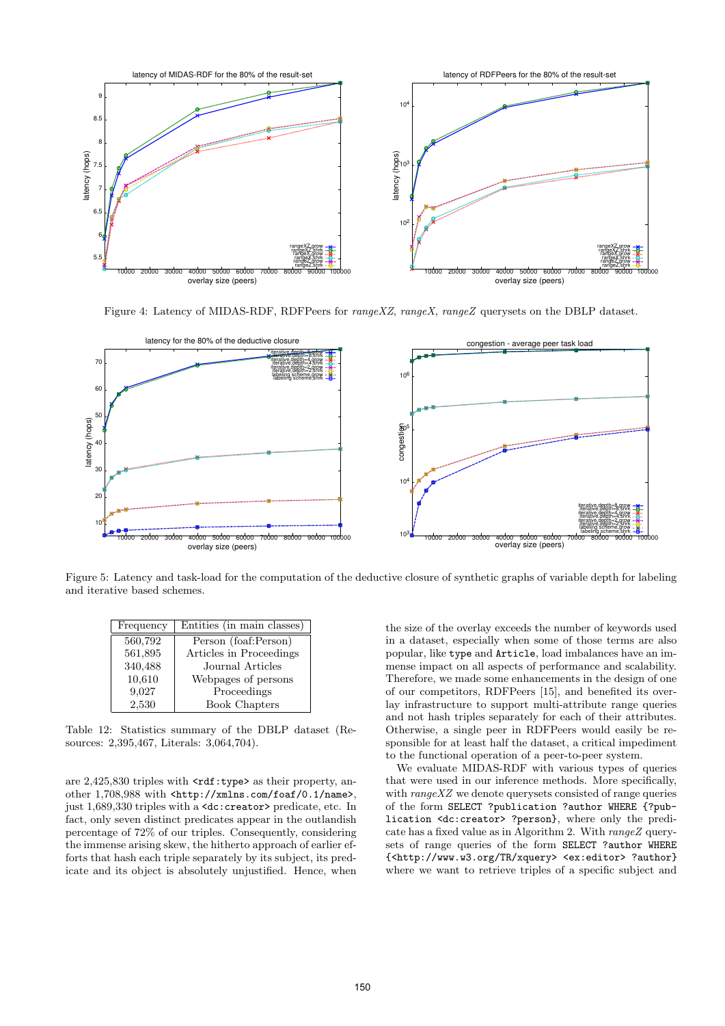

Figure 4: Latency of MIDAS-RDF, RDFPeers for *rangeXZ, rangeX*, *rangeZ* querysets on the DBLP dataset.



Figure 5: Latency and task-load for the computation of the deductive closure of synthetic graphs of variable depth for labeling and iterative based schemes.

| Frequency | Entities (in main classes) |
|-----------|----------------------------|
| 560,792   | Person (foaf:Person)       |
| 561,895   | Articles in Proceedings    |
| 340,488   | Journal Articles           |
| 10,610    | Webpages of persons        |
| 9,027     | Proceedings                |
| 2,530     | <b>Book Chapters</b>       |

Table 12: Statistics summary of the DBLP dataset (Resources: 2,395,467, Literals: 3,064,704).

are  $2,425,830$  triples with  $\texttt{crdf:type>}$  as their property, another 1,708,988 with <http://xmlns.com/foaf/0.1/name>, just 1,689,330 triples with a <dc:creator> predicate, etc. In fact, only seven distinct predicates appear in the outlandish percentage of 72% of our triples. Consequently, considering the immense arising skew, the hitherto approach of earlier efforts that hash each triple separately by its subject, its predicate and its object is absolutely unjustified. Hence, when

the size of the overlay exceeds the number of keywords used in a dataset, especially when some of those terms are also popular, like type and Article, load imbalances have an immense impact on all aspects of performance and scalability. Therefore, we made some enhancements in the design of one of our competitors, RDFPeers [15], and benefited its overlay infrastructure to support multi-attribute range queries and not hash triples separately for each of their attributes. Otherwise, a single peer in RDFPeers would easily be responsible for at least half the dataset, a critical impediment to the functional operation of a peer-to-peer system.

We evaluate MIDAS-RDF with various types of queries that were used in our inference methods. More specifically, with  $rangeXZ$  we denote querysets consisted of range queries of the form SELECT ?publication ?author WHERE {?publication <dc:creator> ?person}, where only the predicate has a fixed value as in Algorithm 2. With  $rangeZ$  querysets of range queries of the form SELECT ?author WHERE {<http://www.w3.org/TR/xquery> <ex:editor> ?author} where we want to retrieve triples of a specific subject and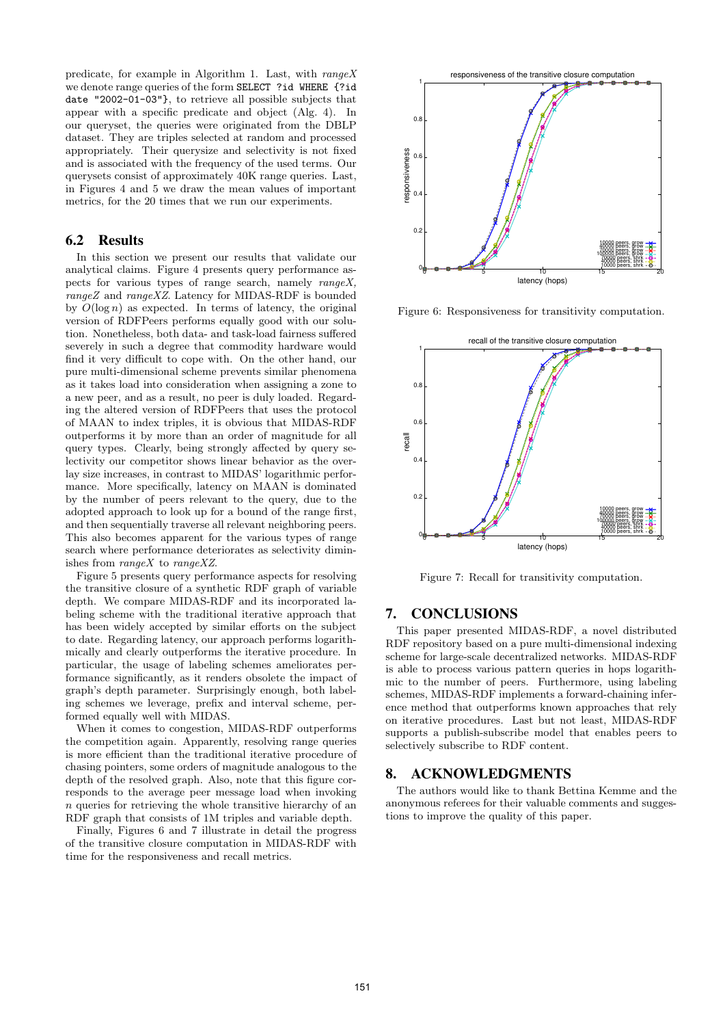predicate, for example in Algorithm 1. Last, with rangeX we denote range queries of the form SELECT ?id WHERE {?id date "2002-01-03"}, to retrieve all possible subjects that appear with a specific predicate and object (Alg. 4). In our queryset, the queries were originated from the DBLP dataset. They are triples selected at random and processed appropriately. Their querysize and selectivity is not fixed and is associated with the frequency of the used terms. Our querysets consist of approximately 40K range queries. Last, in Figures 4 and 5 we draw the mean values of important metrics, for the 20 times that we run our experiments.

#### 6.2 Results

In this section we present our results that validate our analytical claims. Figure 4 presents query performance aspects for various types of range search, namely rangeX, rangeZ and rangeXZ. Latency for MIDAS-RDF is bounded by  $O(\log n)$  as expected. In terms of latency, the original version of RDFPeers performs equally good with our solution. Nonetheless, both data- and task-load fairness suffered severely in such a degree that commodity hardware would find it very difficult to cope with. On the other hand, our pure multi-dimensional scheme prevents similar phenomena as it takes load into consideration when assigning a zone to a new peer, and as a result, no peer is duly loaded. Regarding the altered version of RDFPeers that uses the protocol of MAAN to index triples, it is obvious that MIDAS-RDF outperforms it by more than an order of magnitude for all query types. Clearly, being strongly affected by query selectivity our competitor shows linear behavior as the overlay size increases, in contrast to MIDAS' logarithmic performance. More specifically, latency on MAAN is dominated by the number of peers relevant to the query, due to the adopted approach to look up for a bound of the range first, and then sequentially traverse all relevant neighboring peers. This also becomes apparent for the various types of range search where performance deteriorates as selectivity diminishes from rangeX to rangeXZ.

Figure 5 presents query performance aspects for resolving the transitive closure of a synthetic RDF graph of variable depth. We compare MIDAS-RDF and its incorporated labeling scheme with the traditional iterative approach that has been widely accepted by similar efforts on the subject to date. Regarding latency, our approach performs logarithmically and clearly outperforms the iterative procedure. In particular, the usage of labeling schemes ameliorates performance significantly, as it renders obsolete the impact of graph's depth parameter. Surprisingly enough, both labeling schemes we leverage, prefix and interval scheme, performed equally well with MIDAS.

When it comes to congestion, MIDAS-RDF outperforms the competition again. Apparently, resolving range queries is more efficient than the traditional iterative procedure of chasing pointers, some orders of magnitude analogous to the depth of the resolved graph. Also, note that this figure corresponds to the average peer message load when invoking  $n$  queries for retrieving the whole transitive hierarchy of an RDF graph that consists of 1M triples and variable depth.

Finally, Figures 6 and 7 illustrate in detail the progress of the transitive closure computation in MIDAS-RDF with time for the responsiveness and recall metrics.



Figure 6: Responsiveness for transitivity computation.



Figure 7: Recall for transitivity computation.

# 7. CONCLUSIONS

This paper presented MIDAS-RDF, a novel distributed RDF repository based on a pure multi-dimensional indexing scheme for large-scale decentralized networks. MIDAS-RDF is able to process various pattern queries in hops logarithmic to the number of peers. Furthermore, using labeling schemes, MIDAS-RDF implements a forward-chaining inference method that outperforms known approaches that rely on iterative procedures. Last but not least, MIDAS-RDF supports a publish-subscribe model that enables peers to selectively subscribe to RDF content.

#### 8. ACKNOWLEDGMENTS

The authors would like to thank Bettina Kemme and the anonymous referees for their valuable comments and suggestions to improve the quality of this paper.